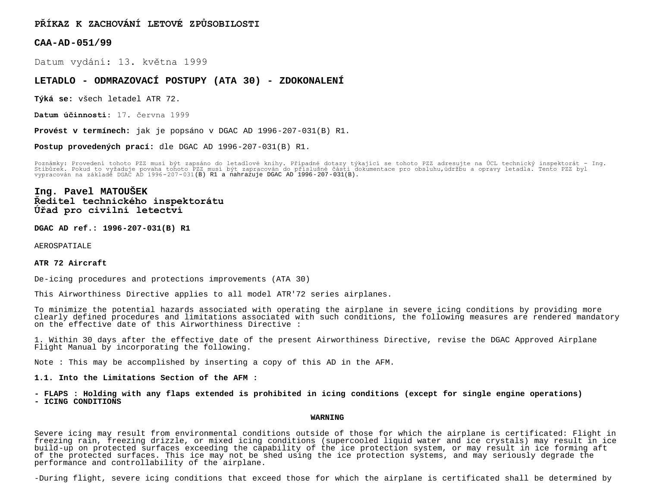**PŘÍKAZ K ZACHOVÁNÍ LETOVÉ ZPŮSOBILOSTI**

**CAA-AD-051/99**

Datum vydání: 13. května 1999

## **LETADLO - ODMRAZOVACÍ POSTUPY (ATA 30) - ZDOKONALENÍ**

**Týká se:** všech letadel ATR 72.

**Datum účinnosti:** 17. června 1999

**Provést v termínech:** jak je popsáno v DGAC AD 1996-207-031(B) R1.

**Postup provedených prací:** dle DGAC AD 1996-207-031(B) R1.

Poznámky: Provedení tohoto PZZ musí být zapsáno do letadlové knihy. Případné dotazy týkající se tohoto PZZ adresujte na UCL technický inspektorát – Ing.<br>Stibůrek, Pokud to vyžaduje povaha tohoto PZZ musí být zapracován do vypracován na základě DGAC AD 1996-207-031(B) R1 a nahrazuje DGAC AD 1996-207-031(B).

# **Ing. Pavel MATOUŠEK Ředitel technického inspektorátu Úřad pro civilní letectví**

**DGAC AD ref.: 1996-207-031(B) R1**

AEROSPATIALE

#### **ATR 72 Aircraft**

De-icing procedures and protections improvements (ATA 30)

This Airworthiness Directive applies to all model ATR'72 series airplanes.

To minimize the potential hazards associated with operating the airplane in severe icing conditions by providing more clearly defined procedures and limitations associated with such conditions, the following measures are rendered mandatory on the effective date of this Airworthiness Directive :

1. Within 30 days after the effective date of the present Airworthiness Directive, revise the DGAC Approved Airplane Flight Manual by incorporating the following.

Note : This may be accomplished by inserting a copy of this AD in the AFM.

**1.1. Into the Limitations Section of the AFM :**

**- FLAPS : Holding with any flaps extended is prohibited in icing conditions (except for single engine operations) - ICING CONDITIONS**

#### **WARNING**

Severe icing may result from environmental conditions outside of those for which the airplane is certificated: Flight in freezing rain, freezing drizzle, or mixed icing conditions (supercooled liquid water and ice crystals) may result in ice build-up on protected surfaces exceeding the capability of the ice protection system, or may result in ice forming aft of the protected surfaces. This ice may not be shed using the ice protection systems, and may seriously degrade the performance and controllability of the airplane.

-During flight, severe icing conditions that exceed those for which the airplane is certificated shall be determined by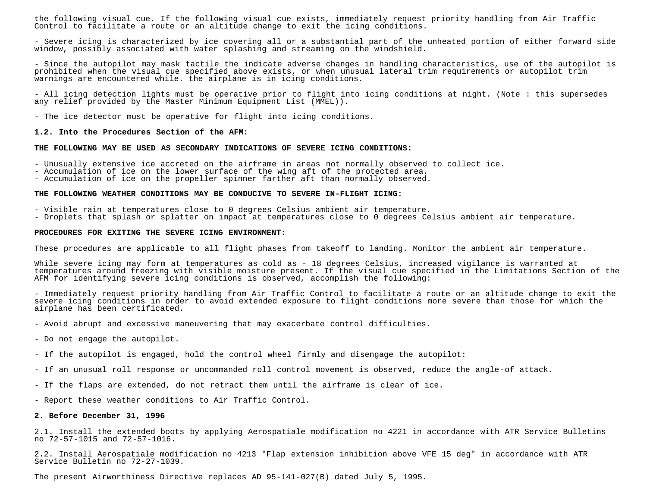the following visual cue. If the following visual cue exists, immediately request priority handling from Air Traffic Control to facilitate a route or an altitude change to exit the icing conditions.

- Severe icing is characterized by ice covering all or a substantial part of the unheated portion of either forward side window, possibly associated with water splashing and streaming on the windshield.

- Since the autopilot may mask tactile the indicate adverse changes in handling characteristics, use of the autopilot is prohibited when the visual cue specified above exists, or when unusual lateral trim requirements or autopilot trim warnings are encountered while. the airplane is in icing conditions.

- All icing detection lights must be operative prior to flight into icing conditions at night. (Note : this supersedes any relief provided by the Master Minimum Equipment List (MMEL)).

- The ice detector must be operative for flight into icing conditions.

### **1.2. Into the Procedures Section of the AFM:**

#### **THE FOLLOWING MAY BE USED AS SECONDARY INDICATIONS OF SEVERE ICING CONDITIONS:**

- Unusually extensive ice accreted on the airframe in areas not normally observed to collect ice.

- Accumulation of ice on the lower surface of the wing aft of the protected area.

- Accumulation of ice on the propeller spinner farther aft than normally observed.

#### **THE FOLLOWING WEATHER CONDITIONS MAY BE CONDUCIVE TO SEVERE IN-FLIGHT ICING:**

- Visible rain at temperatures close to 0 degrees Celsius ambient air temperature.

- Droplets that splash or splatter on impact at temperatures close to 0 degrees Celsius ambient air temperature.

### **PROCEDURES FOR EXITING THE SEVERE ICING ENVIRONMENT:**

These procedures are applicable to all flight phases from takeoff to landing. Monitor the ambient air temperature.

While severe icing may form at temperatures as cold as - 18 degrees Celsius, increased vigilance is warranted at temperatures around freezing with visible moisture present. If the visual cue specified in the Limitations Section of the AFM for identifying severe icing conditions is observed, accomplish the following:

- Immediately request priority handling from Air Traffic Control to facilitate a route or an altitude change to exit the severe icing conditions in order to avoid extended exposure to flight conditions more severe than those for which the airplane has been certificated.

- Avoid abrupt and excessive maneuvering that may exacerbate control difficulties.
- Do not engage the autopilot.
- If the autopilot is engaged, hold the control wheel firmly and disengage the autopilot:
- If an unusual roll response or uncommanded roll control movement is observed, reduce the angle-of attack.
- If the flaps are extended, do not retract them until the airframe is clear of ice.

- Report these weather conditions to Air Traffic Control.

#### **2. Before December 31, 1996**

2.1. Install the extended boots by applying Aerospatiale modification no 4221 in accordance with ATR Service Bulletins no 72-57-1015 and 72-57-1016.

2.2. Install Aerospatiale modification no 4213 "Flap extension inhibition above VFE 15 deg" in accordance with ATR Service Bulletin no 72-27-1039.

The present Airworthiness Directive replaces AD 95-141-027(B) dated July 5, 1995.